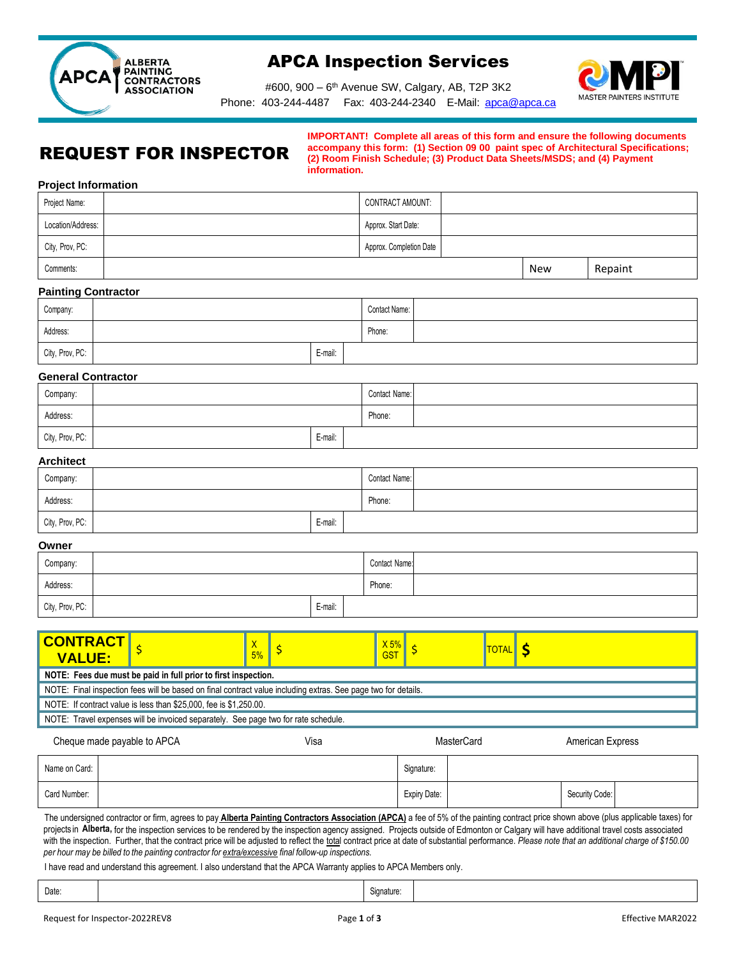

# APCA Inspection Services



#600, 900 – 6 th Avenue SW, Calgary, AB, T2P 3K2 Phone: 403-244-4487 Fax: 403-244-2340 E-Mail: [apca@apca.ca](mailto:apca@apca.ca)

# REQUEST FOR INSPECTOR

**IMPORTANT! Complete all areas of this form and ensure the following documents accompany this form: (1) Section 09 00 paint spec of Architectural Specifications; (2) Room Finish Schedule; (3) Product Data Sheets/MSDS; and (4) Payment information.** 

### **Project Information**

| Project Name:<br>Location/Address: | CONTRACT AMOUNT:        |     |         |
|------------------------------------|-------------------------|-----|---------|
|                                    | Approx. Start Date:     |     |         |
| City, Prov, PC:                    | Approx. Completion Date |     |         |
| Comments:                          |                         | New | Repaint |

### **Painting Contractor**

| Company:        |  |         |        | Contact Name: |  |
|-----------------|--|---------|--------|---------------|--|
| Address:        |  |         | Phone: |               |  |
| City, Prov, PC: |  | E-mail: |        |               |  |

#### **General Contractor**

| Company:        |  |         | Contact Name: |  |
|-----------------|--|---------|---------------|--|
| Address:        |  |         | Phone:        |  |
| City, Prov, PC: |  | E-mail: |               |  |

### **Architect**

| Company:        |  |         |        | Contact Name: |
|-----------------|--|---------|--------|---------------|
| Address:        |  |         | Phone: |               |
| City, Prov, PC: |  | E-mail: |        |               |

### **Owner**

| Company:        |  |         |  | Contact Name: |
|-----------------|--|---------|--|---------------|
| Address:        |  |         |  |               |
| City, Prov, PC: |  | E-mail: |  |               |

| <b>CONTRACT</b><br><b>VALUE:</b>                                                   |                                                                                                               | Χ<br>5% |  | X5%<br><b>GST</b> |  | <b>TOTAL</b> |  |
|------------------------------------------------------------------------------------|---------------------------------------------------------------------------------------------------------------|---------|--|-------------------|--|--------------|--|
|                                                                                    | NOTE: Fees due must be paid in full prior to first inspection.                                                |         |  |                   |  |              |  |
|                                                                                    | NOTE: Final inspection fees will be based on final contract value including extras. See page two for details. |         |  |                   |  |              |  |
|                                                                                    | NOTE: If contract value is less than \$25,000, fee is \$1,250.00.                                             |         |  |                   |  |              |  |
| NOTE: Travel expenses will be invoiced separately. See page two for rate schedule. |                                                                                                               |         |  |                   |  |              |  |
|                                                                                    | Cheque made payable to APCA<br>American Express<br>Visa<br><b>MasterCard</b>                                  |         |  |                   |  |              |  |

| Name on Card: | Signature:   |                |  |
|---------------|--------------|----------------|--|
| Card Number:  | Expiry Date: | Security Code: |  |

The undersigned contractor or firm, agrees to pay **Alberta Painting Contractors Association (APCA)** a fee of 5% of the painting contract price shown above (plus applicable taxes) for projects in **Alberta,** for the inspection services to be rendered by the inspection agency assigned. Projects outside of Edmonton or Calgary will have additional travel costs associated with the inspection. Further, that the contract price will be adjusted to reflect the total contract price at date of substantial performance. *Please note that an additional charge of \$150.00 per hour may be billed to the painting contractor for extra/excessive final follow-up inspections.*

I have read and understand this agreement. I also understand that the APCA Warranty applies to APCA Members only.

Date: Signature: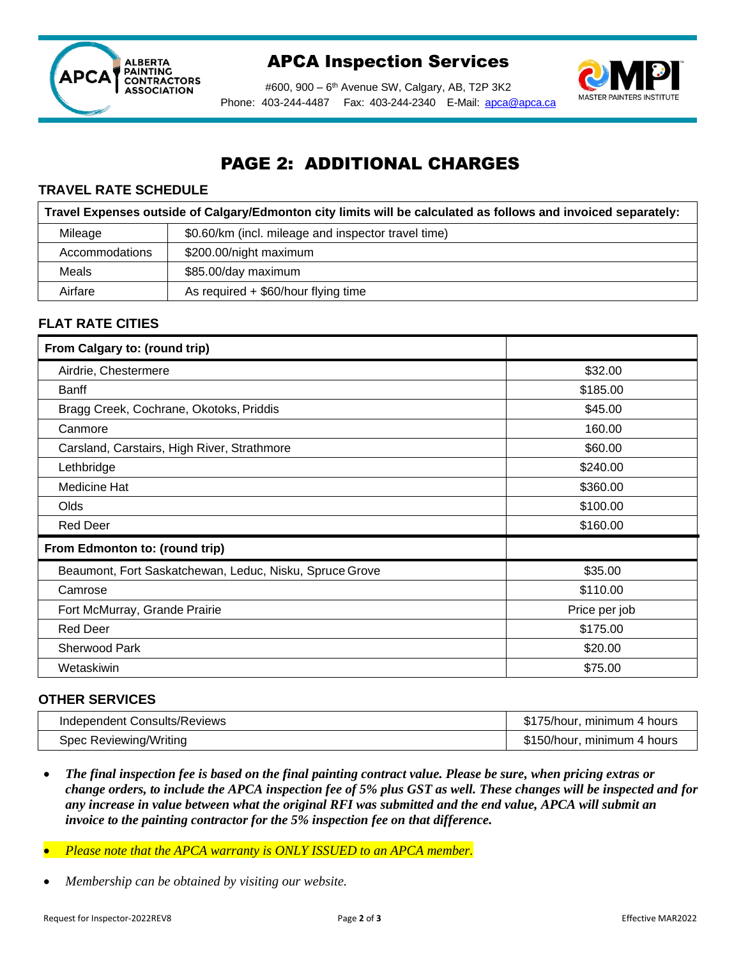

# APCA Inspection Services



#600, 900 – 6 th Avenue SW, Calgary, AB, T2P 3K2 Phone: 403-244-4487 Fax: 403-244-2340 E-Mail: [apca@apca.ca](mailto:apca@apca.ca)

# PAGE 2: ADDITIONAL CHARGES

## **TRAVEL RATE SCHEDULE**

| Travel Expenses outside of Calgary/Edmonton city limits will be calculated as follows and invoiced separately: |                                                     |  |  |  |  |  |
|----------------------------------------------------------------------------------------------------------------|-----------------------------------------------------|--|--|--|--|--|
| Mileage                                                                                                        | \$0.60/km (incl. mileage and inspector travel time) |  |  |  |  |  |
| Accommodations                                                                                                 | \$200.00/night maximum                              |  |  |  |  |  |
| <b>Meals</b>                                                                                                   | \$85.00/day maximum                                 |  |  |  |  |  |
| Airfare                                                                                                        | As required + \$60/hour flying time                 |  |  |  |  |  |

## **FLAT RATE CITIES**

| From Calgary to: (round trip)                           |               |
|---------------------------------------------------------|---------------|
| Airdrie, Chestermere                                    | \$32.00       |
| Banff                                                   | \$185.00      |
| Bragg Creek, Cochrane, Okotoks, Priddis                 | \$45.00       |
| Canmore                                                 | 160.00        |
| Carsland, Carstairs, High River, Strathmore             | \$60.00       |
| Lethbridge                                              | \$240.00      |
| Medicine Hat                                            | \$360.00      |
| Olds                                                    | \$100.00      |
| <b>Red Deer</b>                                         | \$160.00      |
| From Edmonton to: (round trip)                          |               |
| Beaumont, Fort Saskatchewan, Leduc, Nisku, Spruce Grove | \$35.00       |
| Camrose                                                 | \$110.00      |
| Fort McMurray, Grande Prairie                           | Price per job |
| <b>Red Deer</b>                                         | \$175.00      |
| <b>Sherwood Park</b>                                    | \$20.00       |
| Wetaskiwin                                              | \$75.00       |

## **OTHER SERVICES**

| Independent Consults/Reviews | \$175/hour, minimum 4 hours |
|------------------------------|-----------------------------|
| Spec Reviewing/Writing       | \$150/hour, minimum 4 hours |

- *The final inspection fee is based on the final painting contract value. Please be sure, when pricing extras or change orders, to include the APCA inspection fee of 5% plus GST as well. These changes will be inspected and for any increase in value between what the original RFI was submitted and the end value, APCA will submit an invoice to the painting contractor for the 5% inspection fee on that difference.*
- *Please note that the APCA warranty is ONLY ISSUED to an APCA member.*
- *Membership can be obtained by visiting our website.*